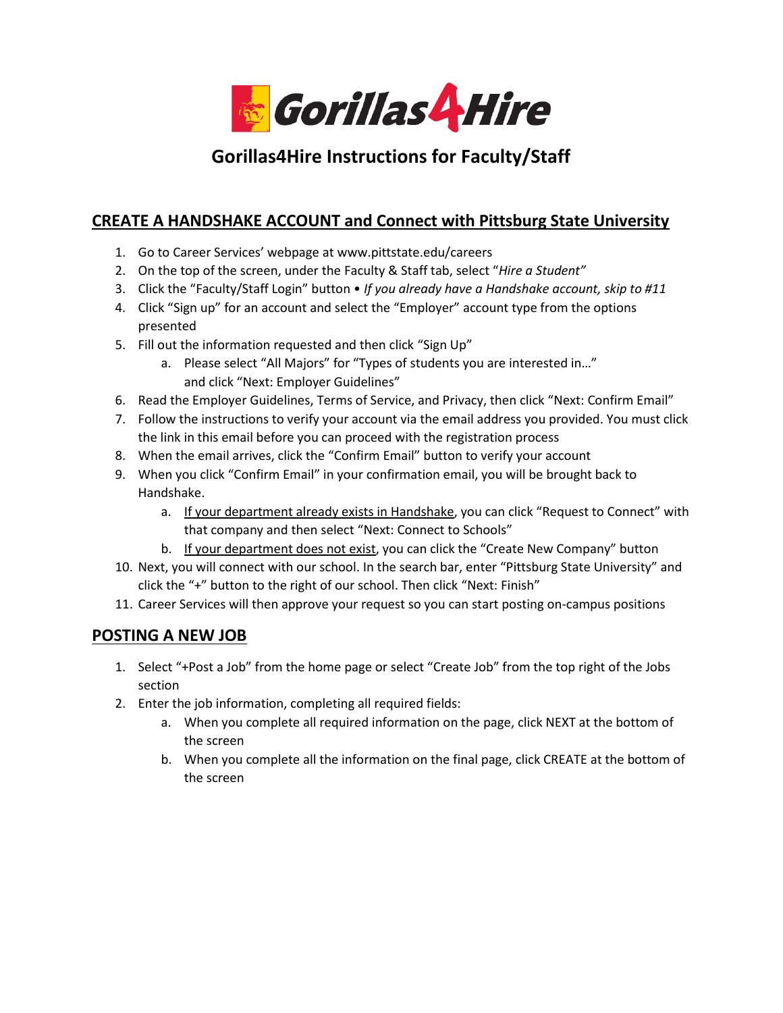

# **Gorillas4Hire Instructions for Faculty/Staff**

# **CREATE A HANDSHAKE ACCOUNT and Connect with Pittsburg State University**

- 1. Go to Career Services' webpage at www.pittstate.edu/careers
- 2. On the top of the screen, under the Faculty & Staff tab, select "*Hire a Student"*
- 3. Click the "Faculty/Staff Login" button *If you already have a Handshake account, skip to #11*
- 4. Click "Sign up" for an account and select the "Employer" account type from the options presented
- 5. Fill out the information requested and then click "Sign Up"
	- a. Please select "All Majors" for "Types of students you are interested in…" and click "Next: Employer Guidelines"
- 6. Read the Employer Guidelines, Terms of Service, and Privacy, then click "Next: Confirm Email"
- 7. Follow the instructions to verify your account via the email address you provided. You must click the link in this email before you can proceed with the registration process
- 8. When the email arrives, click the "Confirm Email" button to verify your account
- 9. When you click "Confirm Email" in your confirmation email, you will be brought back to Handshake.
	- a. If your department already exists in Handshake, you can click "Request to Connect" with that company and then select "Next: Connect to Schools"
	- b. If your department does not exist, you can click the "Create New Company" button
- 10. Next, you will connect with our school. In the search bar, enter "Pittsburg State University" and click the "+" button to the right of our school. Then click "Next: Finish"
- 11. Career Services will then approve your request so you can start posting on-campus positions

### **POSTING A NEW JOB**

- 1. Select "+Post a Job" from the home page or select "Create Job" from the top right of the Jobs section
- 2. Enter the job information, completing all required fields:
	- a. When you complete all required information on the page, click NEXT at the bottom of the screen
	- b. When you complete all the information on the final page, click CREATE at the bottom of the screen